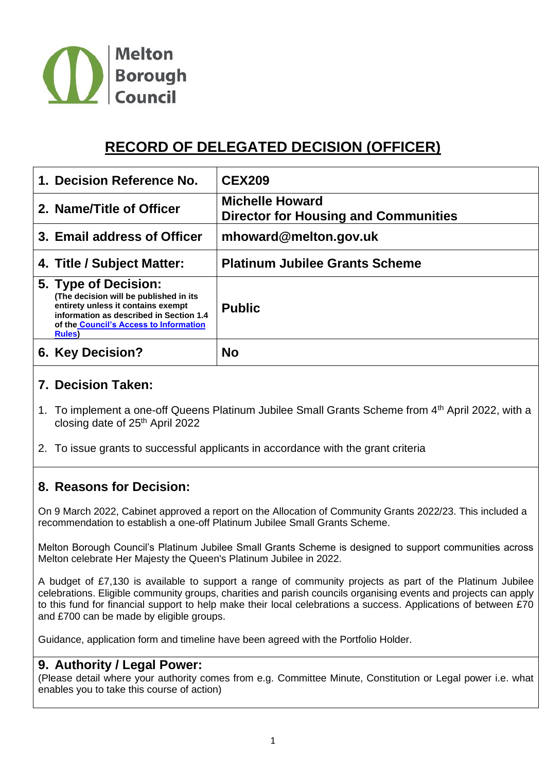

# **RECORD OF DELEGATED DECISION (OFFICER)**

| 1. Decision Reference No.                                                                                                                                                                           | <b>CEX209</b>                                                         |
|-----------------------------------------------------------------------------------------------------------------------------------------------------------------------------------------------------|-----------------------------------------------------------------------|
| 2. Name/Title of Officer                                                                                                                                                                            | <b>Michelle Howard</b><br><b>Director for Housing and Communities</b> |
| 3. Email address of Officer                                                                                                                                                                         | mhoward@melton.gov.uk                                                 |
| 4. Title / Subject Matter:                                                                                                                                                                          | <b>Platinum Jubilee Grants Scheme</b>                                 |
| 5. Type of Decision:<br>(The decision will be published in its<br>entirety unless it contains exempt<br>information as described in Section 1.4<br>of the Council's Access to Information<br>Rules) | <b>Public</b>                                                         |
| 6. Key Decision?                                                                                                                                                                                    | <b>No</b>                                                             |

## **7. Decision Taken:**

- 1. To implement a one-off Queens Platinum Jubilee Small Grants Scheme from 4<sup>th</sup> April 2022, with a closing date of 25<sup>th</sup> April 2022
- 2. To issue grants to successful applicants in accordance with the grant criteria

## **8. Reasons for Decision:**

On 9 March 2022, Cabinet approved a report on the Allocation of Community Grants 2022/23. This included a recommendation to establish a one-off Platinum Jubilee Small Grants Scheme.

Melton Borough Council's Platinum Jubilee Small Grants Scheme is designed to support communities across Melton celebrate Her Majesty the Queen's Platinum Jubilee in 2022.

A budget of £7,130 is available to support a range of community projects as part of the Platinum Jubilee celebrations. Eligible community groups, charities and parish councils organising events and projects can apply to this fund for financial support to help make their local celebrations a success. Applications of between £70 and £700 can be made by eligible groups.

Guidance, application form and timeline have been agreed with the Portfolio Holder.

#### **9. Authority / Legal Power:**

(Please detail where your authority comes from e.g. Committee Minute, Constitution or Legal power i.e. what enables you to take this course of action)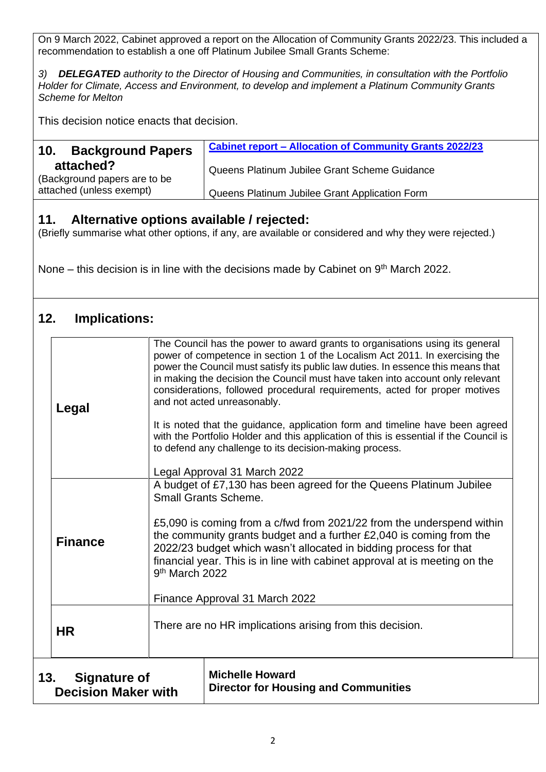On 9 March 2022, Cabinet approved a report on the Allocation of Community Grants 2022/23. This included a recommendation to establish a one off Platinum Jubilee Small Grants Scheme:

*3) DELEGATED authority to the Director of Housing and Communities, in consultation with the Portfolio Holder for Climate, Access and Environment, to develop and implement a Platinum Community Grants Scheme for Melton*

This decision notice enacts that decision.

| <b>Background Papers</b><br>10.           | <b>Cabinet report - Allocation of Community Grants 2022/23</b> |
|-------------------------------------------|----------------------------------------------------------------|
| attached?<br>(Background papers are to be | Queens Platinum Jubilee Grant Scheme Guidance                  |
| attached (unless exempt)                  | Queens Platinum Jubilee Grant Application Form                 |

### **11. Alternative options available / rejected:**

(Briefly summarise what other options, if any, are available or considered and why they were rejected.)

None – this decision is in line with the decisions made by Cabinet on 9<sup>th</sup> March 2022.

## **12. Implications:**

| 13.<br><b>Signature of</b><br><b>Decision Maker with</b> |  |
|----------------------------------------------------------|--|
| <b>HR</b>                                                |  |
| <b>Finance</b>                                           |  |
| Legal                                                    |  |